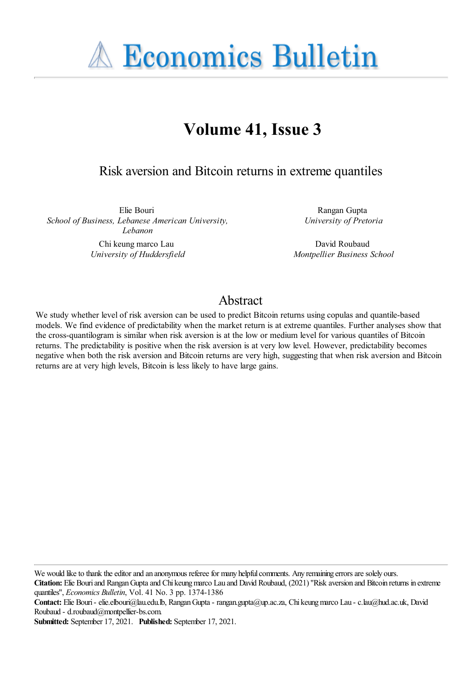**A Economics Bulletin** 

# **Volume 41, Issue 3**

Risk aversion and Bitcoin returns in extreme quantiles

Elie Bouri *School of Business, Lebanese American University, Lebanon*

> Chi keung marco Lau *University of Huddersfield*

Rangan Gupta *University of Pretoria*

David Roubaud *Montpellier Business School*

## Abstract

We study whether level of risk aversion can be used to predict Bitcoin returns using copulas and quantile-based models. We find evidence of predictability when the market return is at extreme quantiles. Further analyses show that the cross-quantilogram is similar when risk aversion is at the low or medium level for various quantiles of Bitcoin returns. The predictability is positive when the risk aversion is at very low level. However, predictability becomes negative when both the risk aversion and Bitcoin returns are very high, suggesting that when risk aversion and Bitcoin returns are at very high levels, Bitcoin is less likely to have large gains.

We would like to thank the editor and an anonymous referee for many helpful comments. Any remaining errors are solely ours.

**Citation:** Elie Bouriand RanganGuptaand Chi keungmarco Lau and David Roubaud, (2021) ''Risk aversion and Bitcoin returns in extreme quantiles'', *Economics Bulletin*, Vol. 41 No. 3 pp. 1374-1386

**Contact:** Elie Bouri- elie.elbouri@lau.edu.lb, RanganGupta- rangan.gupta@up.ac.za, Chi keungmarco Lau - c.lau@hud.ac.uk, David Roubaud - d.roubaud@montpellier-bs.com.

**Submitted:** September 17, 2021. **Published:** September 17, 2021.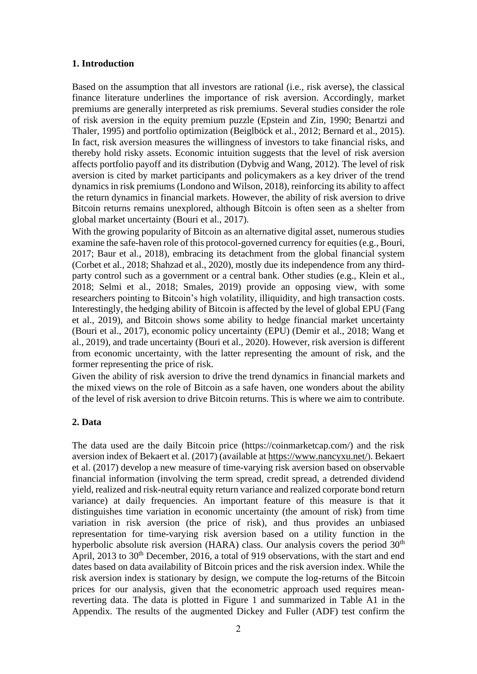#### **1. Introduction**

Based on the assumption that all investors are rational (i.e., risk averse), the classical finance literature underlines the importance of risk aversion. Accordingly, market premiums are generally interpreted as risk premiums. Several studies consider the role of risk aversion in the equity premium puzzle (Epstein and Zin, 1990; Benartzi and Thaler, 1995) and portfolio optimization (Beiglböck et al., 2012; Bernard et al., 2015). In fact, risk aversion measures the willingness of investors to take financial risks, and thereby hold risky assets. Economic intuition suggests that the level of risk aversion affects portfolio payoff and its distribution (Dybvig and Wang, 2012). The level of risk aversion is cited by market participants and policymakers as a key driver of the trend dynamics in risk premiums (Londono and Wilson, 2018), reinforcing its ability to affect the return dynamics in financial markets. However, the ability of risk aversion to drive Bitcoin returns remains unexplored, although Bitcoin is often seen as a shelter from global market uncertainty (Bouri et al., 2017).

With the growing popularity of Bitcoin as an alternative digital asset, numerous studies examine the safe-haven role of this protocol-governed currency for equities (e.g., Bouri, 2017; Baur et al., 2018), embracing its detachment from the global financial system (Corbet et al., 2018; Shahzad et al., 2020), mostly due its independence from any thirdparty control such as a government or a central bank. Other studies (e.g., Klein et al., 2018; Selmi et al., 2018; Smales, 2019) provide an opposing view, with some researchers pointing to Bitcoin's high volatility, illiquidity, and high transaction costs. Interestingly, the hedging ability of Bitcoin is affected by the level of global EPU (Fang et al., 2019), and Bitcoin shows some ability to hedge financial market uncertainty (Bouri et al., 2017), economic policy uncertainty (EPU) (Demir et al., 2018; Wang et al., 2019), and trade uncertainty (Bouri et al., 2020). However, risk aversion is different from economic uncertainty, with the latter representing the amount of risk, and the former representing the price of risk.

Given the ability of risk aversion to drive the trend dynamics in financial markets and the mixed views on the role of Bitcoin as a safe haven, one wonders about the ability of the level of risk aversion to drive Bitcoin returns. This is where we aim to contribute.

## **2. Data**

The data used are the daily Bitcoin price (https://coinmarketcap.com/) and the risk aversion index of Bekaert et al. (2017) (available at<https://www.nancyxu.net/>). Bekaert et al. (2017) develop a new measure of time-varying risk aversion based on observable financial information (involving the term spread, credit spread, a detrended dividend yield, realized and risk-neutral equity return variance and realized corporate bond return variance) at daily frequencies. An important feature of this measure is that it distinguishes time variation in economic uncertainty (the amount of risk) from time variation in risk aversion (the price of risk), and thus provides an unbiased representation for time-varying risk aversion based on a utility function in the hyperbolic absolute risk aversion (HARA) class. Our analysis covers the period  $30<sup>th</sup>$ April, 2013 to 30<sup>th</sup> December, 2016, a total of 919 observations, with the start and end dates based on data availability of Bitcoin prices and the risk aversion index. While the risk aversion index is stationary by design, we compute the log-returns of the Bitcoin prices for our analysis, given that the econometric approach used requires meanreverting data. The data is plotted in Figure 1 and summarized in Table A1 in the Appendix. The results of the augmented Dickey and Fuller (ADF) test confirm the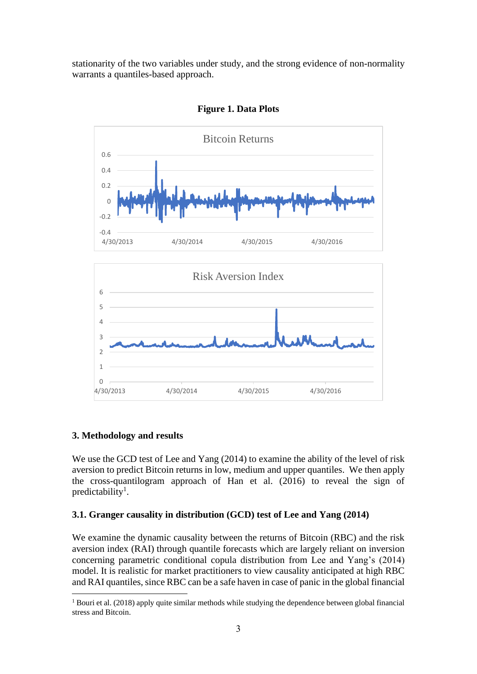stationarity of the two variables under study, and the strong evidence of non-normality warrants a quantiles-based approach.



**Figure 1. Data Plots**

## **3. Methodology and results**

We use the GCD test of Lee and Yang (2014) to examine the ability of the level of risk aversion to predict Bitcoin returns in low, medium and upper quantiles. We then apply the cross-quantilogram approach of Han et al. (2016) to reveal the sign of predictability<sup>1</sup>.

## **3.1. Granger causality in distribution (GCD) test of Lee and Yang (2014)**

We examine the dynamic causality between the returns of Bitcoin (RBC) and the risk aversion index (RAI) through quantile forecasts which are largely reliant on inversion concerning parametric conditional copula distribution from Lee and Yang's (2014) model. It is realistic for market practitioners to view causality anticipated at high RBC and RAI quantiles, since RBC can be a safe haven in case of panic in the global financial

<sup>&</sup>lt;sup>1</sup> Bouri et al. (2018) apply quite similar methods while studying the dependence between global financial stress and Bitcoin.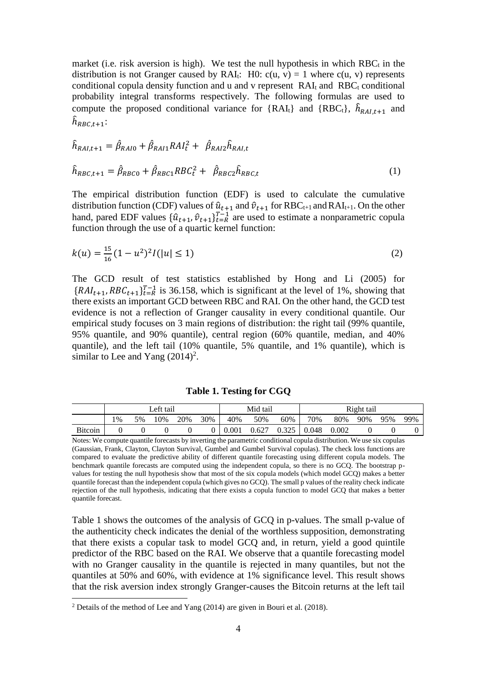market (i.e. risk aversion is high). We test the null hypothesis in which  $RBC_t$  in the distribution is not Granger caused by RAI<sub>t</sub>: H0:  $c(u, v) = 1$  where  $c(u, v)$  represents conditional copula density function and u and v represent  $RAI_t$  and  $RBC_t$  conditional probability integral transforms respectively. The following formulas are used to compute the proposed conditional variance for {RAI<sub>t</sub>} and {RBC<sub>t</sub>},  $\hat{h}_{RAI,t+1}$  and  $\widehat{h}_{RBC,t+1}$ :

$$
\hat{h}_{RAI,t+1} = \hat{\beta}_{RAI0} + \hat{\beta}_{RAI1}RAI_t^2 + \hat{\beta}_{RAI2}\hat{h}_{RAI,t}
$$
\n
$$
\hat{h}_{RBC,t+1} = \hat{\beta}_{RBC0} + \hat{\beta}_{RBC1}RBC_t^2 + \hat{\beta}_{RBC2}\hat{h}_{RBC,t}
$$
\n(1)

The empirical distribution function (EDF) is used to calculate the cumulative distribution function (CDF) values of  $\hat{u}_{t+1}$  and  $\hat{v}_{t+1}$  for RBC<sub>t+1</sub> and RAI<sub>t+1</sub>. On the other hand, pared EDF values  $\{\hat{u}_{t+1}, \hat{v}_{t+1}\}_{t=R}^{T-1}$  are used to estimate a nonparametric copula function through the use of a quartic kernel function:

$$
k(u) = \frac{15}{16}(1 - u^2)^2 I(|u| \le 1)
$$
\n(2)

The GCD result of test statistics established by Hong and Li (2005) for  ${RAI}_{t+1}$ ,  $RBC_{t+1}$ ,  ${}_{t=R}^{T-1}$  is 36.158, which is significant at the level of 1%, showing that there exists an important GCD between RBC and RAI. On the other hand, the GCD test evidence is not a reflection of Granger causality in every conditional quantile. Our empirical study focuses on 3 main regions of distribution: the right tail (99% quantile, 95% quantile, and 90% quantile), central region (60% quantile, median, and 40% quantile), and the left tail (10% quantile, 5% quantile, and 1% quantile), which is similar to Lee and Yang  $(2014)^2$ .

**Table 1. Testing for CGQ**

|                | ∟eft tail |    |     |     | Mid tail |       |       | Right tail |       |       |     |     |     |
|----------------|-----------|----|-----|-----|----------|-------|-------|------------|-------|-------|-----|-----|-----|
|                | 1%        | 5% | 10% | 20% | 30%      | 40%   | 50%   | 60%        | 70%   | 80%   | 90% | 95% | 99% |
| <b>Bitcoin</b> |           |    |     |     |          | 0.001 | 0.627 | 0.325      | 0.048 | 0.002 |     |     |     |

Notes: We compute quantile forecasts by inverting the parametric conditional copula distribution. We use six copulas (Gaussian, Frank, Clayton, Clayton Survival, Gumbel and Gumbel Survival copulas). The check loss functions are compared to evaluate the predictive ability of different quantile forecasting using different copula models. The benchmark quantile forecasts are computed using the independent copula, so there is no GCQ. The bootstrap pvalues for testing the null hypothesis show that most of the six copula models (which model GCQ) makes a better quantile forecast than the independent copula (which gives no GCQ). The small p values of the reality check indicate rejection of the null hypothesis, indicating that there exists a copula function to model GCQ that makes a better quantile forecast.

Table 1 shows the outcomes of the analysis of GCQ in p-values. The small p-value of the authenticity check indicates the denial of the worthless supposition, demonstrating that there exists a copular task to model GCQ and, in return, yield a good quintile predictor of the RBC based on the RAI. We observe that a quantile forecasting model with no Granger causality in the quantile is rejected in many quantiles, but not the quantiles at 50% and 60%, with evidence at 1% significance level. This result shows that the risk aversion index strongly Granger-causes the Bitcoin returns at the left tail

<sup>2</sup> Details of the method of Lee and Yang (2014) are given in Bouri et al. (2018).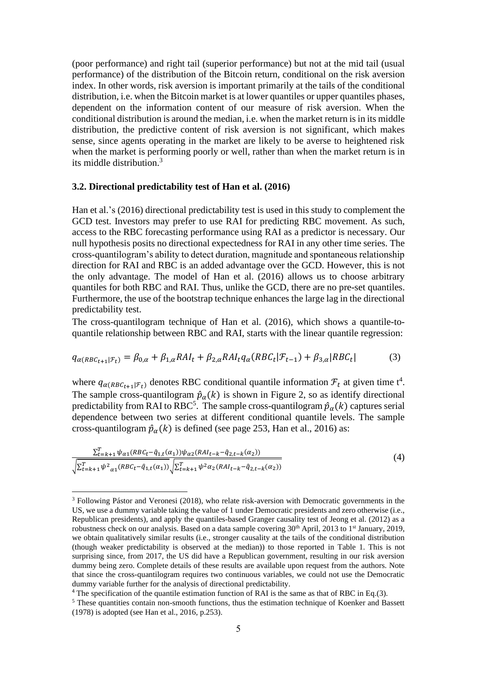(poor performance) and right tail (superior performance) but not at the mid tail (usual performance) of the distribution of the Bitcoin return, conditional on the risk aversion index. In other words, risk aversion is important primarily at the tails of the conditional distribution, i.e. when the Bitcoin market is at lower quantiles or upper quantiles phases, dependent on the information content of our measure of risk aversion. When the conditional distribution is around the median, i.e. when the market return is in its middle distribution, the predictive content of risk aversion is not significant, which makes sense, since agents operating in the market are likely to be averse to heightened risk when the market is performing poorly or well, rather than when the market return is in its middle distribution. 3

#### **3.2. Directional predictability test of Han et al. (2016)**

Han et al.'s (2016) directional predictability test is used in this study to complement the GCD test. Investors may prefer to use RAI for predicting RBC movement. As such, access to the RBC forecasting performance using RAI as a predictor is necessary. Our null hypothesis posits no directional expectedness for RAI in any other time series. The cross-quantilogram's ability to detect duration, magnitude and spontaneous relationship direction for RAI and RBC is an added advantage over the GCD. However, this is not the only advantage. The model of Han et al. (2016) allows us to choose arbitrary quantiles for both RBC and RAI. Thus, unlike the GCD, there are no pre-set quantiles. Furthermore, the use of the bootstrap technique enhances the large lag in the directional predictability test.

The cross-quantilogram technique of Han et al. (2016), which shows a quantile-toquantile relationship between RBC and RAI, starts with the linear quantile regression:

$$
q_{\alpha(RBC_{t+1}|\mathcal{F}_t)} = \beta_{0,\alpha} + \beta_{1,\alpha} RAI_t + \beta_{2,\alpha} RAI_t q_\alpha (RBC_t|\mathcal{F}_{t-1}) + \beta_{3,\alpha} |RBC_t| \tag{3}
$$

where  $q_{\alpha(RBC_{t+1}|\mathcal{F}_t)}$  denotes RBC conditional quantile information  $\mathcal{F}_t$  at given time  $t^4$ . The sample cross-quantilogram  $\hat{p}_{\alpha}(k)$  is shown in Figure 2, so as identify directional predictability from RAI to RBC<sup>5</sup>. The sample cross-quantilogram  $\hat{p}_{\alpha}(k)$  captures serial dependence between two series at different conditional quantile levels. The sample cross-quantilogram  $\hat{p}_{\alpha}(k)$  is defined (see page 253, Han et al., 2016) as:

$$
\frac{\sum_{t=k+1}^{T} \psi_{\alpha 1}(RBC_{t} - \hat{q}_{1,t}(\alpha_{1}))\psi_{\alpha 2}(RAI_{t-k} - \hat{q}_{2,t-k}(\alpha_{2}))}{\sqrt{\sum_{t=k+1}^{T} \psi^{2}_{\alpha 1}(RBC_{t} - \hat{q}_{1,t}(\alpha_{1}))}\sqrt{\sum_{t=k+1}^{T} \psi^{2}_{\alpha 2}(RAI_{t-k} - \hat{q}_{2,t-k}(\alpha_{2}))}}
$$
\n
$$
(4)
$$

<sup>3</sup> Following Pástor and Veronesi (2018), who relate risk-aversion with Democratic governments in the US, we use a dummy variable taking the value of 1 under Democratic presidents and zero otherwise (i.e., Republican presidents), and apply the quantiles-based Granger causality test of Jeong et al. (2012) as a robustness check on our analysis. Based on a data sample covering 30<sup>th</sup> April, 2013 to 1<sup>st</sup> January, 2019, we obtain qualitatively similar results (i.e., stronger causality at the tails of the conditional distribution (though weaker predictability is observed at the median)) to those reported in Table 1. This is not surprising since, from 2017, the US did have a Republican government, resulting in our risk aversion dummy being zero. Complete details of these results are available upon request from the authors. Note that since the cross-quantilogram requires two continuous variables, we could not use the Democratic dummy variable further for the analysis of directional predictability.

<sup>4</sup> The specification of the quantile estimation function of RAI is the same as that of RBC in Eq.(3).

<sup>&</sup>lt;sup>5</sup> These quantities contain non-smooth functions, thus the estimation technique of Koenker and Bassett (1978) is adopted (see Han et al., 2016, p.253).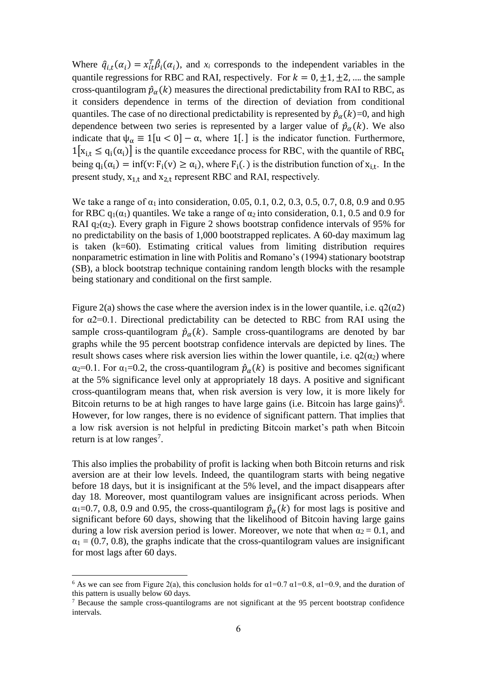Where  $\hat{q}_{i,t}(\alpha_i) = x_{it}^T \hat{\beta}_i(\alpha_i)$ , and  $x_i$  corresponds to the independent variables in the quantile regressions for RBC and RAI, respectively. For  $k = 0, \pm 1, \pm 2, ...$  the sample cross-quantilogram  $\hat{p}_{\alpha}(k)$  measures the directional predictability from RAI to RBC, as it considers dependence in terms of the direction of deviation from conditional quantiles. The case of no directional predictability is represented by  $\hat{p}_{\alpha}(k)=0$ , and high dependence between two series is represented by a larger value of  $\hat{p}_{\alpha}(k)$ . We also indicate that  $\psi_{\alpha} \equiv 1[u < 0] - \alpha$ , where 1[.] is the indicator function. Furthermore,  $1[x_{i,t} \le q_i(\alpha_i)]$  is the quantile exceedance process for RBC, with the quantile of RBC<sub>t</sub> being  $q_i(\alpha_i) = \inf(v: F_i(v) \ge \alpha_i)$ , where  $F_i(.)$  is the distribution function of  $x_{i,t}$ . In the present study,  $x_{1,t}$  and  $x_{2,t}$  represent RBC and RAI, respectively.

We take a range of  $\alpha_1$  into consideration, 0.05, 0.1, 0.2, 0.3, 0.5, 0.7, 0.8, 0.9 and 0.95 for RBC  $q_1(\alpha_1)$  quantiles. We take a range of  $\alpha_2$  into consideration, 0.1, 0.5 and 0.9 for RAI  $q_2(\alpha_2)$ . Every graph in Figure 2 shows bootstrap confidence intervals of 95% for no predictability on the basis of 1,000 bootstrapped replicates. A 60-day maximum lag is taken (k=60). Estimating critical values from limiting distribution requires nonparametric estimation in line with Politis and Romano's (1994) stationary bootstrap (SB), a block bootstrap technique containing random length blocks with the resample being stationary and conditional on the first sample.

Figure 2(a) shows the case where the aversion index is in the lower quantile, i.e.  $q2(\alpha2)$ for α2=0.1. Directional predictability can be detected to RBC from RAI using the sample cross-quantilogram  $\hat{p}_{\alpha}(k)$ . Sample cross-quantilograms are denoted by bar graphs while the 95 percent bootstrap confidence intervals are depicted by lines. The result shows cases where risk aversion lies within the lower quantile, i.e.  $q2(\alpha_2)$  where  $\alpha_2=0.1$ . For  $\alpha_1=0.2$ , the cross-quantilogram  $\hat{p}_\alpha(k)$  is positive and becomes significant at the 5% significance level only at appropriately 18 days. A positive and significant cross-quantilogram means that, when risk aversion is very low, it is more likely for Bitcoin returns to be at high ranges to have large gains (i.e. Bitcoin has large gains)<sup>6</sup>. However, for low ranges, there is no evidence of significant pattern. That implies that a low risk aversion is not helpful in predicting Bitcoin market's path when Bitcoin return is at low ranges<sup>7</sup>.

This also implies the probability of profit is lacking when both Bitcoin returns and risk aversion are at their low levels. Indeed, the quantilogram starts with being negative before 18 days, but it is insignificant at the 5% level, and the impact disappears after day 18. Moreover, most quantilogram values are insignificant across periods. When  $\alpha_1=0.7, 0.8, 0.9$  and 0.95, the cross-quantilogram  $\hat{p}_\alpha(k)$  for most lags is positive and significant before 60 days, showing that the likelihood of Bitcoin having large gains during a low risk aversion period is lower. Moreover, we note that when  $\alpha_2 = 0.1$ , and  $\alpha_1 = (0.7, 0.8)$ , the graphs indicate that the cross-quantilogram values are insignificant for most lags after 60 days.

<sup>&</sup>lt;sup>6</sup> As we can see from Figure 2(a), this conclusion holds for  $\alpha$ 1=0.7  $\alpha$ 1=0.8,  $\alpha$ 1=0.9, and the duration of this pattern is usually below 60 days.

<sup>7</sup> Because the sample cross-quantilograms are not significant at the 95 percent bootstrap confidence intervals.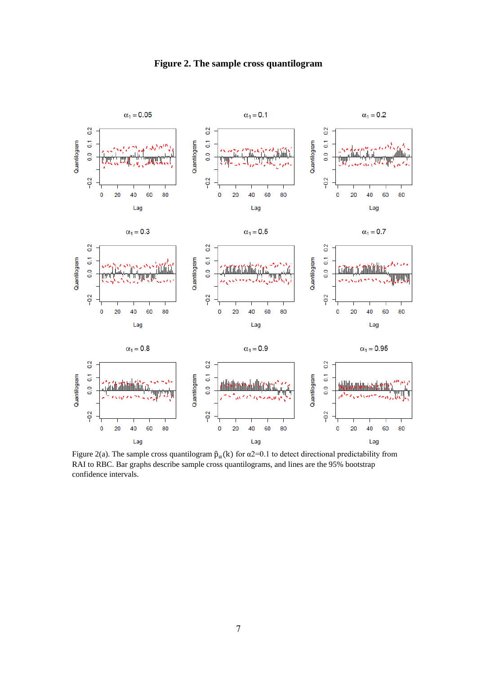

**Figure 2. The sample cross quantilogram**

Figure 2(a). The sample cross quantilogram  $\hat{p}_{\alpha}(k)$  for  $\alpha$ 2=0.1 to detect directional predictability from RAI to RBC. Bar graphs describe sample cross quantilograms, and lines are the 95% bootstrap confidence intervals.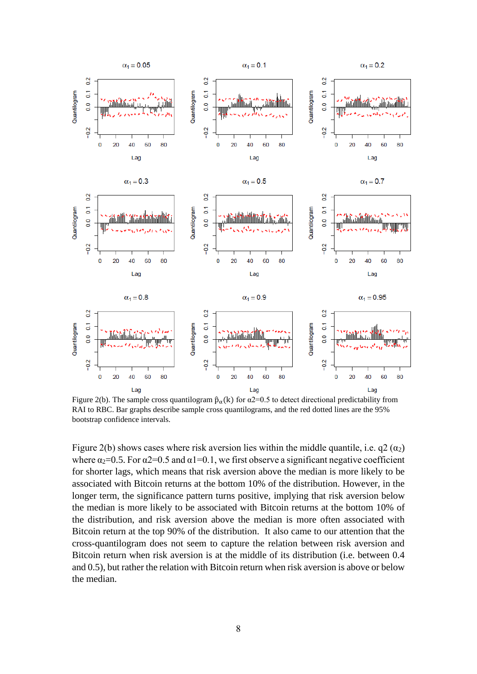

Figure 2(b). The sample cross quantilogram  $\hat{p}_{\alpha}(k)$  for  $\alpha$ 2=0.5 to detect directional predictability from RAI to RBC. Bar graphs describe sample cross quantilograms, and the red dotted lines are the 95% bootstrap confidence intervals.

Figure 2(b) shows cases where risk aversion lies within the middle quantile, i.e.  $q2(\alpha_2)$ where  $\alpha_2=0.5$ . For  $\alpha_2=0.5$  and  $\alpha_1=0.1$ , we first observe a significant negative coefficient for shorter lags, which means that risk aversion above the median is more likely to be associated with Bitcoin returns at the bottom 10% of the distribution. However, in the longer term, the significance pattern turns positive, implying that risk aversion below the median is more likely to be associated with Bitcoin returns at the bottom 10% of the distribution, and risk aversion above the median is more often associated with Bitcoin return at the top 90% of the distribution. It also came to our attention that the cross-quantilogram does not seem to capture the relation between risk aversion and Bitcoin return when risk aversion is at the middle of its distribution (i.e. between 0.4 and 0.5), but rather the relation with Bitcoin return when risk aversion is above or below the median.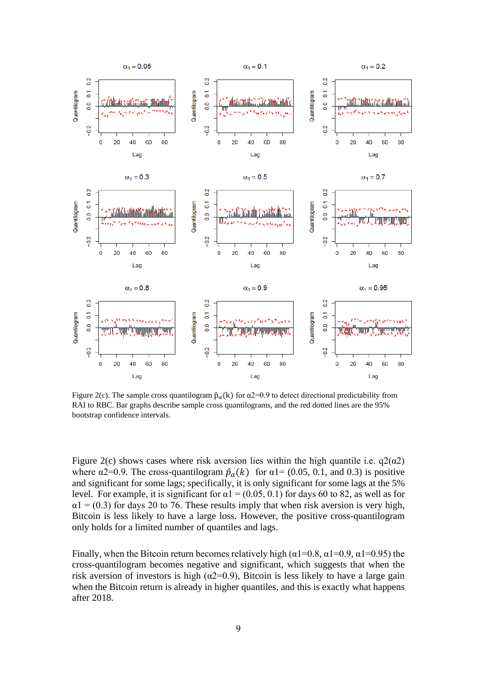

Figure 2(c). The sample cross quantilogram  $\hat{p}_{\alpha}(k)$  for  $\alpha$ 2=0.9 to detect directional predictability from RAI to RBC. Bar graphs describe sample cross quantilograms, and the red dotted lines are the 95% bootstrap confidence intervals.

Figure 2(c) shows cases where risk aversion lies within the high quantile i.e.  $q2(\alpha2)$ where  $\alpha$ 2=0.9. The cross-quantilogram  $\hat{p}_{\alpha}(k)$  for  $\alpha$ 1= (0.05, 0.1, and 0.3) is positive and significant for some lags; specifically, it is only significant for some lags at the 5% level. For example, it is significant for  $\alpha$ 1 = (0.05, 0.1) for days 60 to 82, as well as for  $\alpha$ 1 = (0.3) for days 20 to 76. These results imply that when risk aversion is very high, Bitcoin is less likely to have a large loss. However, the positive cross-quantilogram only holds for a limited number of quantiles and lags.

Finally, when the Bitcoin return becomes relatively high ( $\alpha$ 1=0.8,  $\alpha$ 1=0.9,  $\alpha$ 1=0.95) the cross-quantilogram becomes negative and significant, which suggests that when the risk aversion of investors is high ( $\alpha$ 2=0.9), Bitcoin is less likely to have a large gain when the Bitcoin return is already in higher quantiles, and this is exactly what happens after 2018.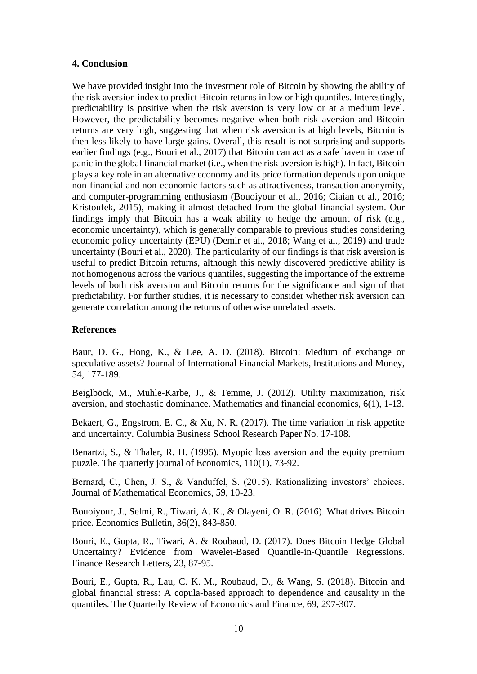## **4. Conclusion**

We have provided insight into the investment role of Bitcoin by showing the ability of the risk aversion index to predict Bitcoin returns in low or high quantiles. Interestingly, predictability is positive when the risk aversion is very low or at a medium level. However, the predictability becomes negative when both risk aversion and Bitcoin returns are very high, suggesting that when risk aversion is at high levels, Bitcoin is then less likely to have large gains. Overall, this result is not surprising and supports earlier findings (e.g., Bouri et al., 2017) that Bitcoin can act as a safe haven in case of panic in the global financial market (i.e., when the risk aversion is high). In fact, Bitcoin plays a key role in an alternative economy and its price formation depends upon unique non-financial and non-economic factors such as attractiveness, transaction anonymity, and computer-programming enthusiasm (Bouoiyour et al., 2016; Ciaian et al., 2016; Kristoufek, 2015), making it almost detached from the global financial system. Our findings imply that Bitcoin has a weak ability to hedge the amount of risk (e.g., economic uncertainty), which is generally comparable to previous studies considering economic policy uncertainty (EPU) (Demir et al., 2018; Wang et al., 2019) and trade uncertainty (Bouri et al., 2020). The particularity of our findings is that risk aversion is useful to predict Bitcoin returns, although this newly discovered predictive ability is not homogenous across the various quantiles, suggesting the importance of the extreme levels of both risk aversion and Bitcoin returns for the significance and sign of that predictability. For further studies, it is necessary to consider whether risk aversion can generate correlation among the returns of otherwise unrelated assets.

## **References**

Baur, D. G., Hong, K., & Lee, A. D. (2018). Bitcoin: Medium of exchange or speculative assets? Journal of International Financial Markets, Institutions and Money, 54, 177-189.

Beiglböck, M., Muhle-Karbe, J., & Temme, J. (2012). Utility maximization, risk aversion, and stochastic dominance. Mathematics and financial economics, 6(1), 1-13.

Bekaert, G., Engstrom, E. C., & Xu, N. R. (2017). The time variation in risk appetite and uncertainty. Columbia Business School Research Paper No. 17-108.

Benartzi, S., & Thaler, R. H. (1995). Myopic loss aversion and the equity premium puzzle. The quarterly journal of Economics, 110(1), 73-92.

Bernard, C., Chen, J. S., & Vanduffel, S. (2015). Rationalizing investors' choices. Journal of Mathematical Economics, 59, 10-23.

Bouoiyour, J., Selmi, R., Tiwari, A. K., & Olayeni, O. R. (2016). What drives Bitcoin price. Economics Bulletin, 36(2), 843-850.

Bouri, E., Gupta, R., Tiwari, A. & Roubaud, D. (2017). Does Bitcoin Hedge Global Uncertainty? Evidence from Wavelet-Based Quantile-in-Quantile Regressions. Finance Research Letters, 23, 87-95.

Bouri, E., Gupta, R., Lau, C. K. M., Roubaud, D., & Wang, S. (2018). Bitcoin and global financial stress: A copula-based approach to dependence and causality in the quantiles. The Quarterly Review of Economics and Finance, 69, 297-307.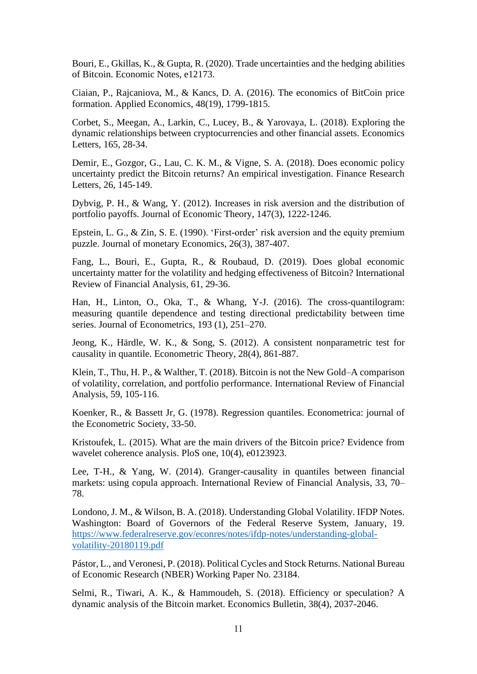Bouri, E., Gkillas, K., & Gupta, R. (2020). Trade uncertainties and the hedging abilities of Bitcoin. Economic Notes, e12173.

Ciaian, P., Rajcaniova, M., & Kancs, D. A. (2016). The economics of BitCoin price formation. Applied Economics, 48(19), 1799-1815.

Corbet, S., Meegan, A., Larkin, C., Lucey, B., & Yarovaya, L. (2018). Exploring the dynamic relationships between cryptocurrencies and other financial assets. Economics Letters, 165, 28-34.

Demir, E., Gozgor, G., Lau, C. K. M., & Vigne, S. A. (2018). Does economic policy uncertainty predict the Bitcoin returns? An empirical investigation. Finance Research Letters, 26, 145-149.

Dybvig, P. H., & Wang, Y. (2012). Increases in risk aversion and the distribution of portfolio payoffs. Journal of Economic Theory, 147(3), 1222-1246.

Epstein, L. G., & Zin, S. E. (1990). 'First-order' risk aversion and the equity premium puzzle. Journal of monetary Economics, 26(3), 387-407.

Fang, L., Bouri, E., Gupta, R., & Roubaud, D. (2019). Does global economic uncertainty matter for the volatility and hedging effectiveness of Bitcoin? International Review of Financial Analysis, 61, 29-36.

Han, H., Linton, O., Oka, T., & Whang, Y-J. (2016). The cross-quantilogram: measuring quantile dependence and testing directional predictability between time series. Journal of Econometrics, 193 (1), 251–270.

Jeong, K., Härdle, W. K., & Song, S. (2012). A consistent nonparametric test for causality in quantile. Econometric Theory, 28(4), 861-887.

Klein, T., Thu, H. P., & Walther, T. (2018). Bitcoin is not the New Gold–A comparison of volatility, correlation, and portfolio performance. International Review of Financial Analysis, 59, 105-116.

Koenker, R., & Bassett Jr, G. (1978). Regression quantiles. Econometrica: journal of the Econometric Society, 33-50.

Kristoufek, L. (2015). What are the main drivers of the Bitcoin price? Evidence from wavelet coherence analysis. PloS one, 10(4), e0123923.

Lee, T-H., & Yang, W. (2014). Granger-causality in quantiles between financial markets: using copula approach. International Review of Financial Analysis, 33, 70– 78.

Londono, J. M., & Wilson, B. A. (2018). Understanding Global Volatility. IFDP Notes. Washington: Board of Governors of the Federal Reserve System, January, 19. [https://www.federalreserve.gov/econres/notes/ifdp-notes/understanding-global](https://www.federalreserve.gov/econres/notes/ifdp-notes/understanding-global-volatility-20180119.pdf)[volatility-20180119.pdf](https://www.federalreserve.gov/econres/notes/ifdp-notes/understanding-global-volatility-20180119.pdf)

Pástor, L., and Veronesi, P. (2018). Political Cycles and Stock Returns. National Bureau of Economic Research (NBER) Working Paper No. 23184.

Selmi, R., Tiwari, A. K., & Hammoudeh, S. (2018). Efficiency or speculation? A dynamic analysis of the Bitcoin market. Economics Bulletin, 38(4), 2037-2046.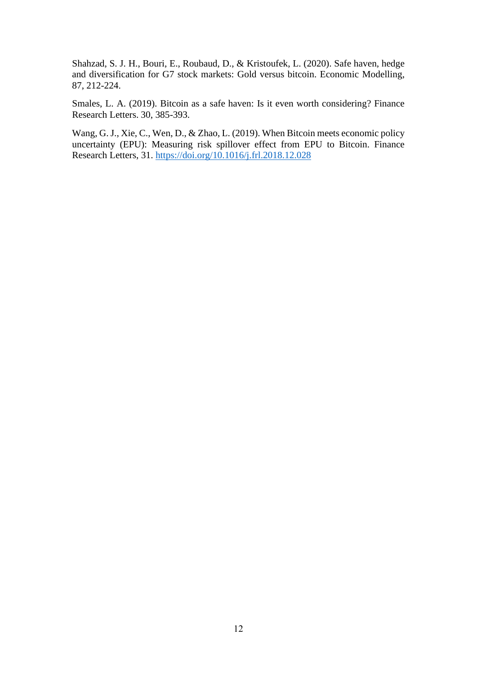Shahzad, S. J. H., Bouri, E., Roubaud, D., & Kristoufek, L. (2020). Safe haven, hedge and diversification for G7 stock markets: Gold versus bitcoin. Economic Modelling, 87, 212-224.

Smales, L. A. (2019). Bitcoin as a safe haven: Is it even worth considering? Finance Research Letters. 30, 385-393.

Wang, G. J., Xie, C., Wen, D., & Zhao, L. (2019). When Bitcoin meets economic policy uncertainty (EPU): Measuring risk spillover effect from EPU to Bitcoin. Finance Research Letters, 31. <https://doi.org/10.1016/j.frl.2018.12.028>